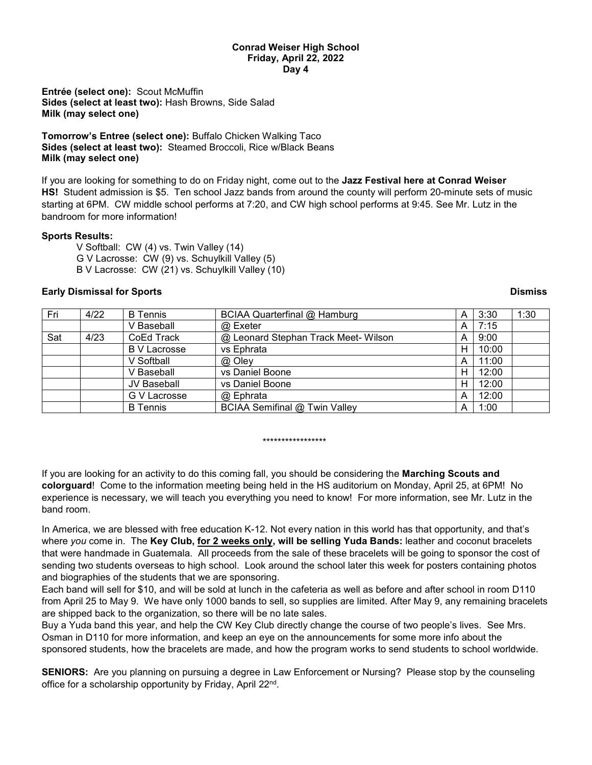## **Conrad Weiser High School Friday, April 22, 2022 Day 4**

**Entrée (select one):** Scout McMuffin **Sides (select at least two):** Hash Browns, Side Salad **Milk (may select one)**

**Tomorrow's Entree (select one):** Buffalo Chicken Walking Taco **Sides (select at least two):** Steamed Broccoli, Rice w/Black Beans **Milk (may select one)**

If you are looking for something to do on Friday night, come out to the **Jazz Festival here at Conrad Weiser HS!** Student admission is \$5. Ten school Jazz bands from around the county will perform 20-minute sets of music starting at 6PM. CW middle school performs at 7:20, and CW high school performs at 9:45. See Mr. Lutz in the bandroom for more information!

## **Sports Results:**

V Softball: CW (4) vs. Twin Valley (14) G V Lacrosse: CW (9) vs. Schuylkill Valley (5) B V Lacrosse: CW (21) vs. Schuylkill Valley (10)

## **Early Dismissal for Sports Dismiss**

| Fri | 4/22 | <b>B</b> Tennis     | BCIAA Quarterfinal @ Hamburg         | A | 3:30  | 1:30 |
|-----|------|---------------------|--------------------------------------|---|-------|------|
|     |      | V Baseball          | @ Exeter                             | A | 7:15  |      |
| Sat | 4/23 | CoEd Track          | @ Leonard Stephan Track Meet- Wilson | A | 9:00  |      |
|     |      | <b>B</b> V Lacrosse | vs Ephrata                           | н | 10:00 |      |
|     |      | V Softball          | @ Oley                               | A | 11:00 |      |
|     |      | V Baseball          | vs Daniel Boone                      | н | 12:00 |      |
|     |      | JV Baseball         | vs Daniel Boone                      | н | 12:00 |      |
|     |      | G V Lacrosse        | @ Ephrata                            | A | 12:00 |      |
|     |      | <b>B</b> Tennis     | BCIAA Semifinal @ Twin Valley        | A | 1:00  |      |

## \*\*\*\*\*\*\*\*\*\*\*\*\*\*\*\*\*

If you are looking for an activity to do this coming fall, you should be considering the **Marching Scouts and colorguard**! Come to the information meeting being held in the HS auditorium on Monday, April 25, at 6PM! No experience is necessary, we will teach you everything you need to know! For more information, see Mr. Lutz in the band room.

In America, we are blessed with free education K-12. Not every nation in this world has that opportunity, and that's where *you* come in. The **Key Club, for 2 weeks only, will be selling Yuda Bands:** leather and coconut bracelets that were handmade in Guatemala. All proceeds from the sale of these bracelets will be going to sponsor the cost of sending two students overseas to high school. Look around the school later this week for posters containing photos and biographies of the students that we are sponsoring.

Each band will sell for \$10, and will be sold at lunch in the cafeteria as well as before and after school in room D110 from April 25 to May 9. We have only 1000 bands to sell, so supplies are limited. After May 9, any remaining bracelets are shipped back to the organization, so there will be no late sales.

Buy a Yuda band this year, and help the CW Key Club directly change the course of two people's lives. See Mrs. Osman in D110 for more information, and keep an eye on the announcements for some more info about the sponsored students, how the bracelets are made, and how the program works to send students to school worldwide.

**SENIORS:** Are you planning on pursuing a degree in Law Enforcement or Nursing? Please stop by the counseling office for a scholarship opportunity by Friday, April 22<sup>nd</sup>.